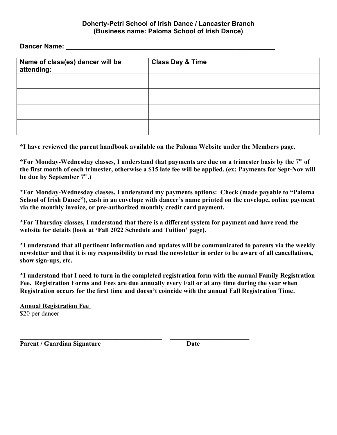## **Doherty-Petri School of Irish Dance / Lancaster Branch (Business name: Paloma School of Irish Dance)**

**Dancer Name:** 

| Name of class(es) dancer will be<br>attending: | <b>Class Day &amp; Time</b> |  |  |
|------------------------------------------------|-----------------------------|--|--|
|                                                |                             |  |  |
|                                                |                             |  |  |
|                                                |                             |  |  |
|                                                |                             |  |  |

**\*I have reviewed the parent handbook available on the Paloma Website under the Members page.**

**\*For Monday-Wednesday classes, I understand that payments are due on a trimester basis by the 7th of the first month of each trimester, otherwise a \$15 late fee will be applied. (ex: Payments for Sept-Nov will be due by September 7th.)**

**\*For Monday-Wednesday classes, I understand my payments options: Check (made payable to "Paloma School of Irish Dance"), cash in an envelope with dancer's name printed on the envelope, online payment via the monthly invoice, or pre-authorized monthly credit card payment.**

**\*For Thursday classes, I understand that there is a different system for payment and have read the website for details (look at 'Fall 2022 Schedule and Tuition' page).** 

**\*I understand that all pertinent information and updates will be communicated to parents via the weekly newsletter and that it is my responsibility to read the newsletter in order to be aware of all cancellations, show sign-ups, etc.**

**\*I understand that I need to turn in the completed registration form with the annual Family Registration Fee. Registration Forms and Fees are due annually every Fall or at any time during the year when Registration occurs for the first time and doesn't coincide with the annual Fall Registration Time.**

**\_\_\_\_\_\_\_\_\_\_\_\_\_\_\_\_\_\_\_\_\_\_\_\_\_\_\_\_\_\_\_\_\_\_\_\_\_\_\_\_\_\_\_ \_\_\_\_\_\_\_\_\_\_\_\_\_\_\_\_\_\_\_\_\_\_\_\_**

**Annual Registration Fee**  \$20 per dancer

Parent / Guardian Signature Date